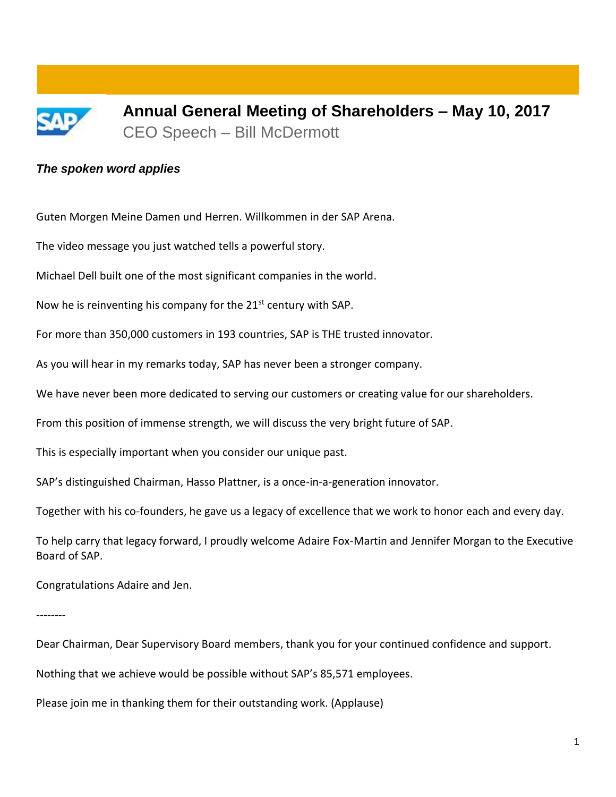

**Annual General Meeting of Shareholders – May 10, 2017** CEO Speech – Bill McDermott

## *The spoken word applies*

Guten Morgen Meine Damen und Herren. Willkommen in der SAP Arena.

The video message you just watched tells a powerful story.

Michael Dell built one of the most significant companies in the world.

Now he is reinventing his company for the  $21^{st}$  century with SAP.

For more than 350,000 customers in 193 countries, SAP is THE trusted innovator.

As you will hear in my remarks today, SAP has never been a stronger company.

We have never been more dedicated to serving our customers or creating value for our shareholders.

From this position of immense strength, we will discuss the very bright future of SAP.

This is especially important when you consider our unique past.

SAP's distinguished Chairman, Hasso Plattner, is a once-in-a-generation innovator.

Together with his co-founders, he gave us a legacy of excellence that we work to honor each and every day.

To help carry that legacy forward, I proudly welcome Adaire Fox-Martin and Jennifer Morgan to the Executive Board of SAP.

Congratulations Adaire and Jen.

--------

Dear Chairman, Dear Supervisory Board members, thank you for your continued confidence and support.

Nothing that we achieve would be possible without SAP's 85,571 employees.

Please join me in thanking them for their outstanding work. (Applause)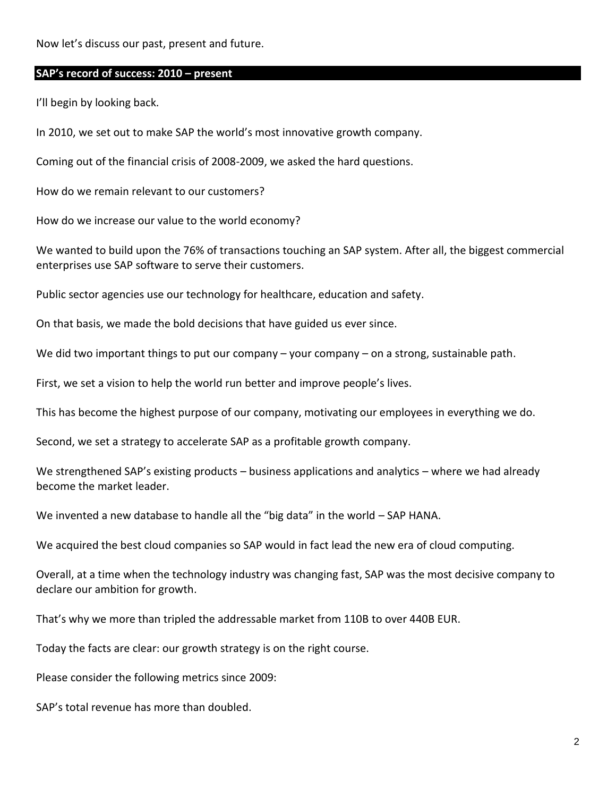Now let's discuss our past, present and future.

### **SAP's record of success: 2010 – present**

I'll begin by looking back.

In 2010, we set out to make SAP the world's most innovative growth company.

Coming out of the financial crisis of 2008-2009, we asked the hard questions.

How do we remain relevant to our customers?

How do we increase our value to the world economy?

We wanted to build upon the 76% of transactions touching an SAP system. After all, the biggest commercial enterprises use SAP software to serve their customers.

Public sector agencies use our technology for healthcare, education and safety.

On that basis, we made the bold decisions that have guided us ever since.

We did two important things to put our company – your company – on a strong, sustainable path.

First, we set a vision to help the world run better and improve people's lives.

This has become the highest purpose of our company, motivating our employees in everything we do.

Second, we set a strategy to accelerate SAP as a profitable growth company.

We strengthened SAP's existing products – business applications and analytics – where we had already become the market leader.

We invented a new database to handle all the "big data" in the world - SAP HANA.

We acquired the best cloud companies so SAP would in fact lead the new era of cloud computing.

Overall, at a time when the technology industry was changing fast, SAP was the most decisive company to declare our ambition for growth.

That's why we more than tripled the addressable market from 110B to over 440B EUR.

Today the facts are clear: our growth strategy is on the right course.

Please consider the following metrics since 2009:

SAP's total revenue has more than doubled.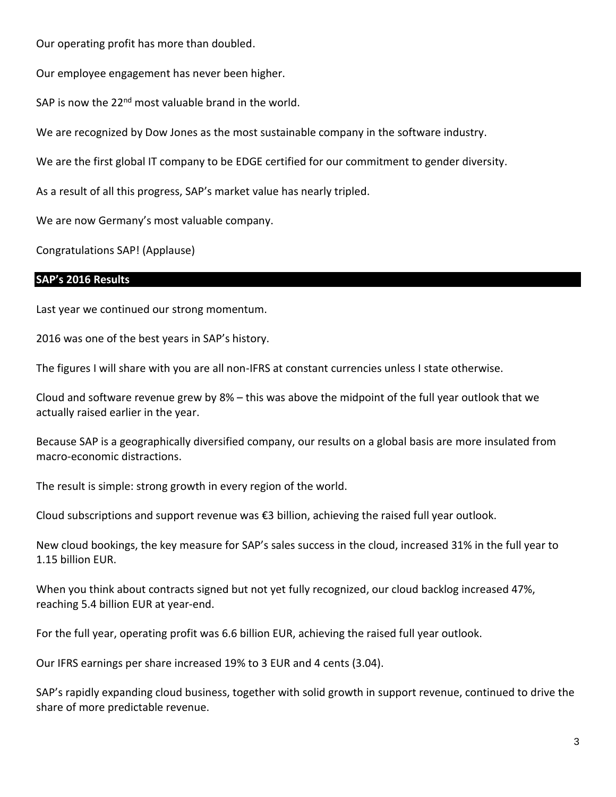Our operating profit has more than doubled.

Our employee engagement has never been higher.

SAP is now the  $22<sup>nd</sup>$  most valuable brand in the world.

We are recognized by Dow Jones as the most sustainable company in the software industry.

We are the first global IT company to be EDGE certified for our commitment to gender diversity.

As a result of all this progress, SAP's market value has nearly tripled.

We are now Germany's most valuable company.

Congratulations SAP! (Applause)

### **SAP's 2016 Results**

Last year we continued our strong momentum.

2016 was one of the best years in SAP's history.

The figures I will share with you are all non-IFRS at constant currencies unless I state otherwise.

Cloud and software revenue grew by 8% – this was above the midpoint of the full year outlook that we actually raised earlier in the year.

Because SAP is a geographically diversified company, our results on a global basis are more insulated from macro-economic distractions.

The result is simple: strong growth in every region of the world.

Cloud subscriptions and support revenue was €3 billion, achieving the raised full year outlook.

New cloud bookings, the key measure for SAP's sales success in the cloud, increased 31% in the full year to 1.15 billion EUR.

When you think about contracts signed but not yet fully recognized, our cloud backlog increased 47%, reaching 5.4 billion EUR at year-end.

For the full year, operating profit was 6.6 billion EUR, achieving the raised full year outlook.

Our IFRS earnings per share increased 19% to 3 EUR and 4 cents (3.04).

SAP's rapidly expanding cloud business, together with solid growth in support revenue, continued to drive the share of more predictable revenue.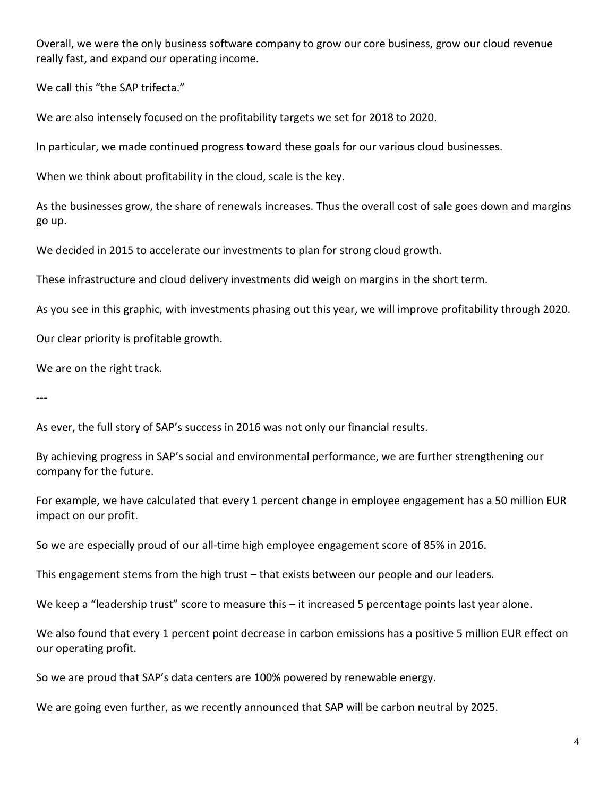Overall, we were the only business software company to grow our core business, grow our cloud revenue really fast, and expand our operating income.

We call this "the SAP trifecta."

We are also intensely focused on the profitability targets we set for 2018 to 2020.

In particular, we made continued progress toward these goals for our various cloud businesses.

When we think about profitability in the cloud, scale is the key.

As the businesses grow, the share of renewals increases. Thus the overall cost of sale goes down and margins go up.

We decided in 2015 to accelerate our investments to plan for strong cloud growth.

These infrastructure and cloud delivery investments did weigh on margins in the short term.

As you see in this graphic, with investments phasing out this year, we will improve profitability through 2020.

Our clear priority is profitable growth.

We are on the right track.

---

As ever, the full story of SAP's success in 2016 was not only our financial results.

By achieving progress in SAP's social and environmental performance, we are further strengthening our company for the future.

For example, we have calculated that every 1 percent change in employee engagement has a 50 million EUR impact on our profit.

So we are especially proud of our all-time high employee engagement score of 85% in 2016.

This engagement stems from the high trust – that exists between our people and our leaders.

We keep a "leadership trust" score to measure this – it increased 5 percentage points last year alone.

We also found that every 1 percent point decrease in carbon emissions has a positive 5 million EUR effect on our operating profit.

So we are proud that SAP's data centers are 100% powered by renewable energy.

We are going even further, as we recently announced that SAP will be carbon neutral by 2025.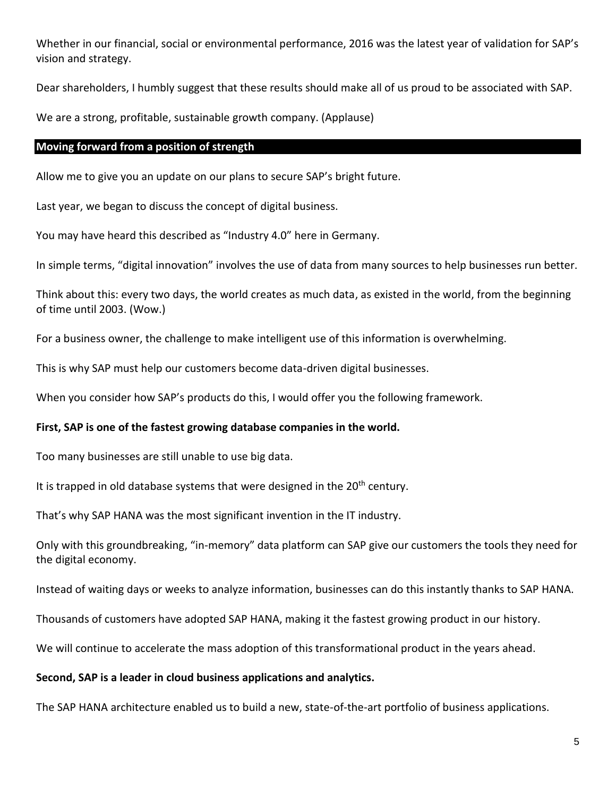Whether in our financial, social or environmental performance, 2016 was the latest year of validation for SAP's vision and strategy.

Dear shareholders, I humbly suggest that these results should make all of us proud to be associated with SAP.

We are a strong, profitable, sustainable growth company. (Applause)

## **Moving forward from a position of strength**

Allow me to give you an update on our plans to secure SAP's bright future.

Last year, we began to discuss the concept of digital business.

You may have heard this described as "Industry 4.0" here in Germany.

In simple terms, "digital innovation" involves the use of data from many sources to help businesses run better.

Think about this: every two days, the world creates as much data, as existed in the world, from the beginning of time until 2003. (Wow.)

For a business owner, the challenge to make intelligent use of this information is overwhelming.

This is why SAP must help our customers become data-driven digital businesses.

When you consider how SAP's products do this, I would offer you the following framework.

### **First, SAP is one of the fastest growing database companies in the world.**

Too many businesses are still unable to use big data.

It is trapped in old database systems that were designed in the 20<sup>th</sup> century.

That's why SAP HANA was the most significant invention in the IT industry.

Only with this groundbreaking, "in-memory" data platform can SAP give our customers the tools they need for the digital economy.

Instead of waiting days or weeks to analyze information, businesses can do this instantly thanks to SAP HANA.

Thousands of customers have adopted SAP HANA, making it the fastest growing product in our history.

We will continue to accelerate the mass adoption of this transformational product in the years ahead.

### **Second, SAP is a leader in cloud business applications and analytics.**

The SAP HANA architecture enabled us to build a new, state-of-the-art portfolio of business applications.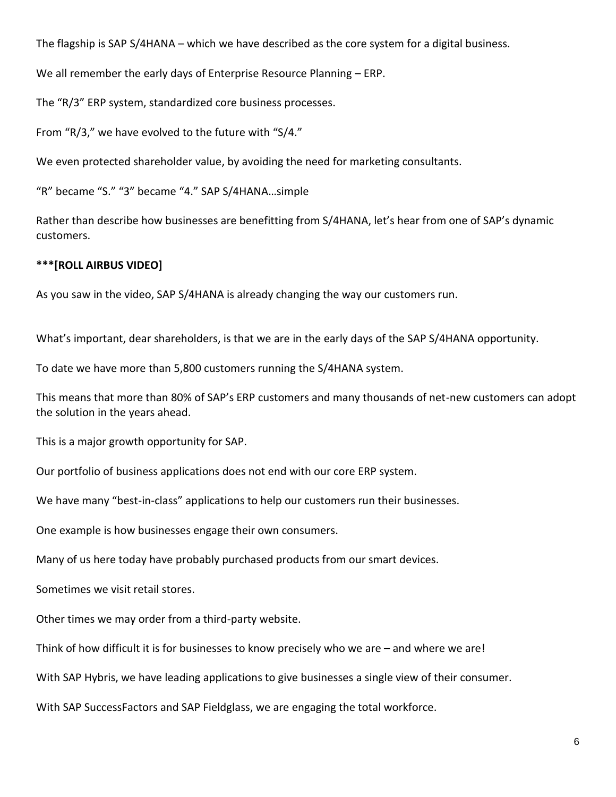The flagship is SAP S/4HANA – which we have described as the core system for a digital business.

We all remember the early days of Enterprise Resource Planning – ERP.

The "R/3" ERP system, standardized core business processes.

From "R/3," we have evolved to the future with "S/4."

We even protected shareholder value, by avoiding the need for marketing consultants.

"R" became "S." "3" became "4." SAP S/4HANA…simple

Rather than describe how businesses are benefitting from S/4HANA, let's hear from one of SAP's dynamic customers.

## **\*\*\*[ROLL AIRBUS VIDEO]**

As you saw in the video, SAP S/4HANA is already changing the way our customers run.

What's important, dear shareholders, is that we are in the early days of the SAP S/4HANA opportunity.

To date we have more than 5,800 customers running the S/4HANA system.

This means that more than 80% of SAP's ERP customers and many thousands of net-new customers can adopt the solution in the years ahead.

This is a major growth opportunity for SAP.

Our portfolio of business applications does not end with our core ERP system.

We have many "best-in-class" applications to help our customers run their businesses.

One example is how businesses engage their own consumers.

Many of us here today have probably purchased products from our smart devices.

Sometimes we visit retail stores.

Other times we may order from a third-party website.

Think of how difficult it is for businesses to know precisely who we are – and where we are!

With SAP Hybris, we have leading applications to give businesses a single view of their consumer.

With SAP SuccessFactors and SAP Fieldglass, we are engaging the total workforce.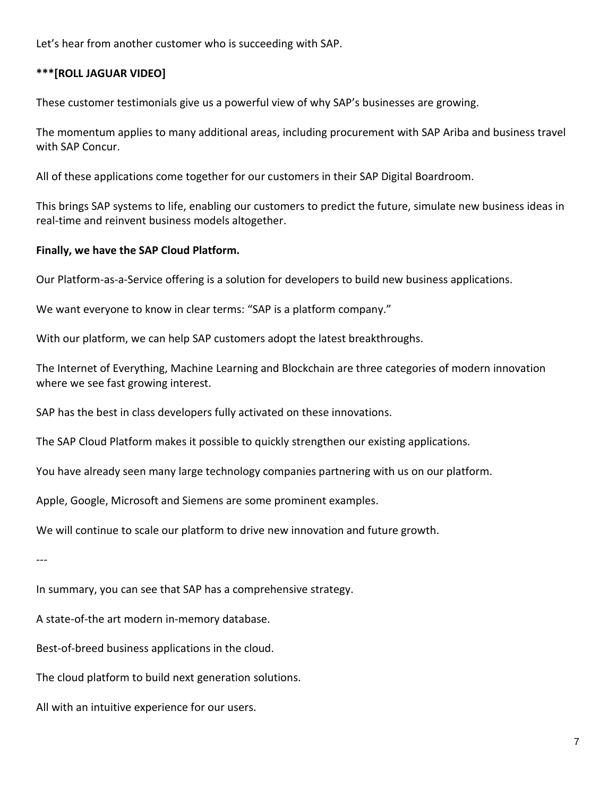Let's hear from another customer who is succeeding with SAP.

# **\*\*\*[ROLL JAGUAR VIDEO]**

These customer testimonials give us a powerful view of why SAP's businesses are growing.

The momentum applies to many additional areas, including procurement with SAP Ariba and business travel with SAP Concur.

All of these applications come together for our customers in their SAP Digital Boardroom.

This brings SAP systems to life, enabling our customers to predict the future, simulate new business ideas in real-time and reinvent business models altogether.

## **Finally, we have the SAP Cloud Platform.**

Our Platform-as-a-Service offering is a solution for developers to build new business applications.

We want everyone to know in clear terms: "SAP is a platform company."

With our platform, we can help SAP customers adopt the latest breakthroughs.

The Internet of Everything, Machine Learning and Blockchain are three categories of modern innovation where we see fast growing interest.

SAP has the best in class developers fully activated on these innovations.

The SAP Cloud Platform makes it possible to quickly strengthen our existing applications.

You have already seen many large technology companies partnering with us on our platform.

Apple, Google, Microsoft and Siemens are some prominent examples.

We will continue to scale our platform to drive new innovation and future growth.

---

In summary, you can see that SAP has a comprehensive strategy.

A state-of-the art modern in-memory database.

Best-of-breed business applications in the cloud.

The cloud platform to build next generation solutions.

All with an intuitive experience for our users.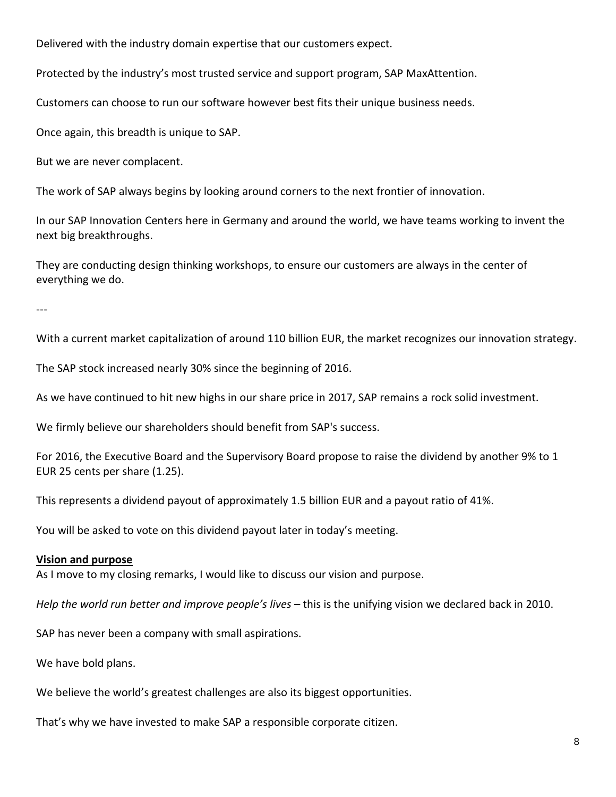Delivered with the industry domain expertise that our customers expect.

Protected by the industry's most trusted service and support program, SAP MaxAttention.

Customers can choose to run our software however best fits their unique business needs.

Once again, this breadth is unique to SAP.

But we are never complacent.

The work of SAP always begins by looking around corners to the next frontier of innovation.

In our SAP Innovation Centers here in Germany and around the world, we have teams working to invent the next big breakthroughs.

They are conducting design thinking workshops, to ensure our customers are always in the center of everything we do.

---

With a current market capitalization of around 110 billion EUR, the market recognizes our innovation strategy.

The SAP stock increased nearly 30% since the beginning of 2016.

As we have continued to hit new highs in our share price in 2017, SAP remains a rock solid investment.

We firmly believe our shareholders should benefit from SAP's success.

For 2016, the Executive Board and the Supervisory Board propose to raise the dividend by another 9% to 1 EUR 25 cents per share (1.25).

This represents a dividend payout of approximately 1.5 billion EUR and a payout ratio of 41%.

You will be asked to vote on this dividend payout later in today's meeting.

#### **Vision and purpose**

As I move to my closing remarks, I would like to discuss our vision and purpose.

*Help the world run better and improve people's lives* – this is the unifying vision we declared back in 2010.

SAP has never been a company with small aspirations.

We have bold plans.

We believe the world's greatest challenges are also its biggest opportunities.

That's why we have invested to make SAP a responsible corporate citizen.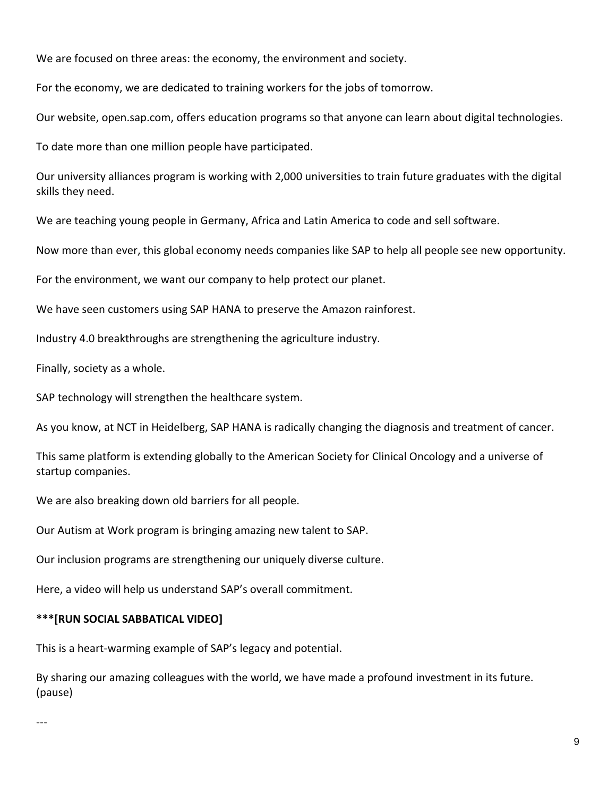We are focused on three areas: the economy, the environment and society.

For the economy, we are dedicated to training workers for the jobs of tomorrow.

Our website, open.sap.com, offers education programs so that anyone can learn about digital technologies.

To date more than one million people have participated.

Our university alliances program is working with 2,000 universities to train future graduates with the digital skills they need.

We are teaching young people in Germany, Africa and Latin America to code and sell software.

Now more than ever, this global economy needs companies like SAP to help all people see new opportunity.

For the environment, we want our company to help protect our planet.

We have seen customers using SAP HANA to preserve the Amazon rainforest.

Industry 4.0 breakthroughs are strengthening the agriculture industry.

Finally, society as a whole.

SAP technology will strengthen the healthcare system.

As you know, at NCT in Heidelberg, SAP HANA is radically changing the diagnosis and treatment of cancer.

This same platform is extending globally to the American Society for Clinical Oncology and a universe of startup companies.

We are also breaking down old barriers for all people.

Our Autism at Work program is bringing amazing new talent to SAP.

Our inclusion programs are strengthening our uniquely diverse culture.

Here, a video will help us understand SAP's overall commitment.

# **\*\*\*[RUN SOCIAL SABBATICAL VIDEO]**

This is a heart-warming example of SAP's legacy and potential.

By sharing our amazing colleagues with the world, we have made a profound investment in its future. (pause)